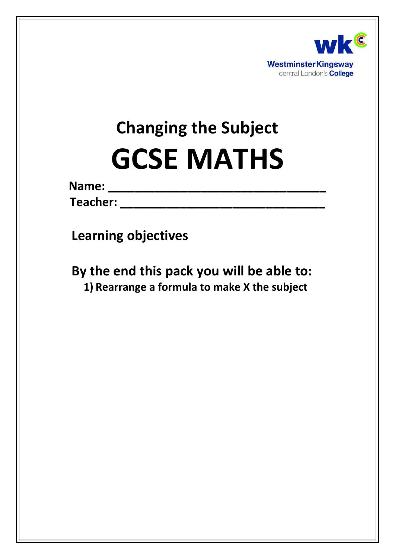

# **Changing the Subject GCSE MATHS**

| Name: |  |  |  |  |  |  |  |  |
|-------|--|--|--|--|--|--|--|--|
|       |  |  |  |  |  |  |  |  |
|       |  |  |  |  |  |  |  |  |

**Teacher: \_\_\_\_\_\_\_\_\_\_\_\_\_\_\_\_\_\_\_\_\_\_\_\_\_\_\_\_\_\_\_**

**Learning objectives**

**By the end this pack you will be able to: 1) Rearrange a formula to make X the subject**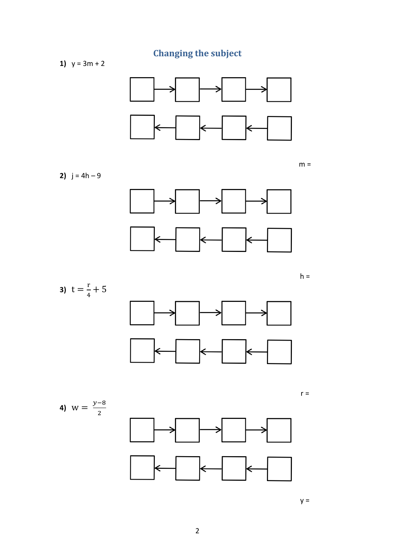**Changing the subject** 

1)  $y = 3m + 2$ 



 $m =$ 

2)  $j = 4h - 9$ 









 $y =$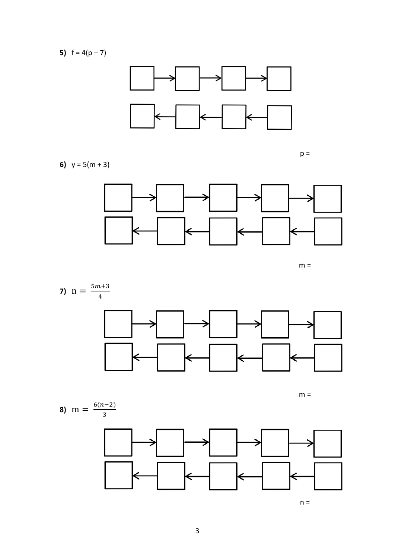5)  $f = 4(p-7)$ 



 $p =$ 

6)  $y = 5(m + 3)$ 



 $m =$ 



 $m =$ 

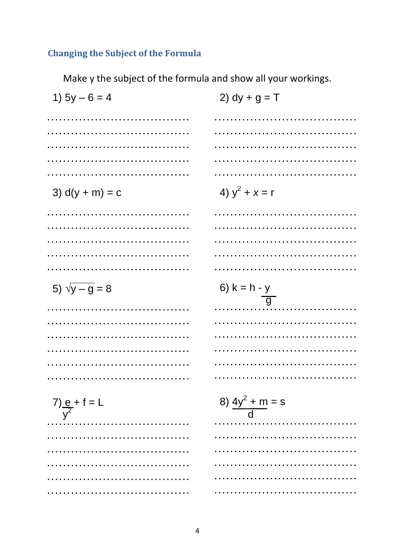# **Changing the Subject of the Formula**

Make y the subject of the formula and show all your workings.

| 1) $5y - 6 = 4$              | 2) $dy + g = T$             |
|------------------------------|-----------------------------|
|                              |                             |
|                              |                             |
|                              |                             |
|                              |                             |
|                              |                             |
| 3) $d(y + m) = c$            | 4) $y^2 + x = r$            |
|                              |                             |
|                              |                             |
|                              |                             |
|                              |                             |
|                              |                             |
| 5) $\sqrt{y - g} = 8$        | 6) $k = h - y$              |
|                              |                             |
|                              | $\overline{g}$              |
|                              | .                           |
|                              |                             |
|                              |                             |
|                              |                             |
|                              |                             |
|                              |                             |
| $7)$ $\frac{e}{y^2} + f = L$ | 8) $\frac{4y^2 + m}{d} = s$ |
|                              |                             |
|                              |                             |
|                              |                             |
|                              |                             |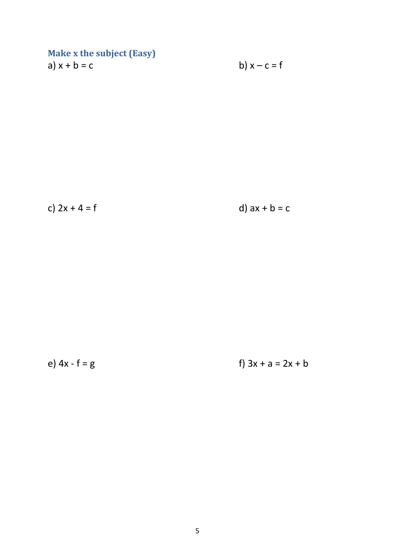### **Make x the subject (Easy)** a)  $x + b = c$  b)  $x - c = f$

c)  $2x + 4 = f$  d)  $ax + b = c$ 

e)  $4x - f = g$  f)  $3x + a = 2x + b$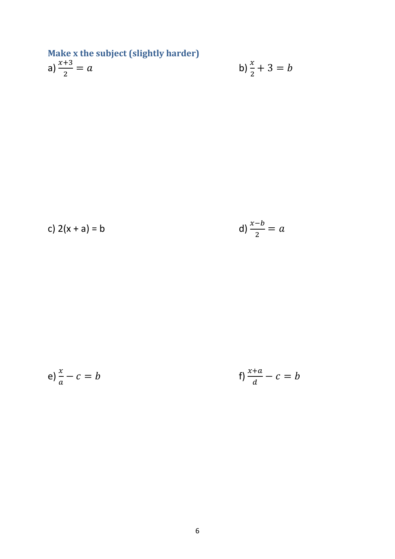Make x the subject (slightly harder)  
a) 
$$
\frac{x+3}{2} = a
$$
 b)

b) 
$$
\frac{x}{2} + 3 = b
$$

c) 
$$
2(x + a) = b
$$

d) 
$$
\frac{x-b}{2} = a
$$

e) 
$$
\frac{x}{a} - c = b
$$
   
f)  $\frac{x+a}{d} - c = b$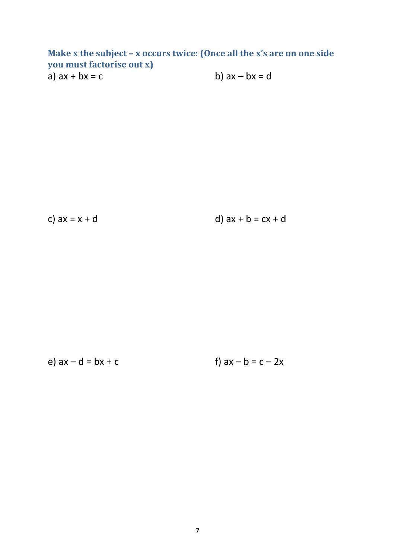**Make x the subject – x occurs twice: (Once all the x's are on one side you must factorise out x)** a)  $ax + bx = c$  b)  $ax - bx = d$ 

c)  $ax = x + d$  d)  $ax + b = cx + d$ 

e)  $ax - d = bx + c$  f)  $ax - b = c - 2x$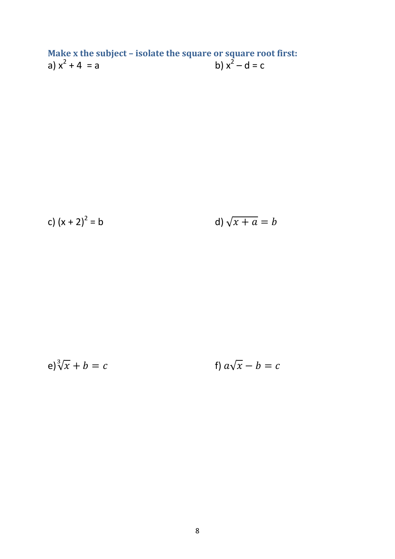**Make x the subject – isolate the square or square root first:** a)  $x^2 + 4 = a$  b)  $x^2 - d = c$ 

c) 
$$
(x + 2)^2 = b
$$
 d)  $\sqrt{x + a} = b$ 

$$
e)^3 \sqrt{x} + b = c \qquad \qquad \text{f) } a\sqrt{x} - b = c
$$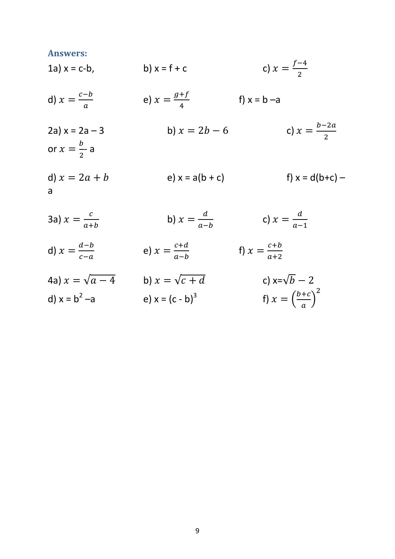#### **Answers:**

 $\overline{a}$ 

1a)  $x = c-b$ , b)  $x = f + c$  $\int$  $\overline{\mathbf{c}}$ d)  $x = \frac{c}{x}$  $\alpha$ e)  $x = \frac{g}{x}$  $\frac{f}{4}$  f) x = b –a 2a)  $x = 2a - 3$  b)  $x = 2b - 6$  $\boldsymbol{b}$  $\overline{\mathbf{c}}$ or  $x = \frac{b}{2}$  $\frac{b}{2}$ - a d)  $x = 2a + b$  <br>e)  $x = a(b + c)$  <br>f)  $x = d(b+c)$  – a 3a)  $x = \frac{c}{a}$ b)  $x = \frac{d}{a}$  $\frac{d}{a-b}$  c)  $x = \frac{d}{a-b}$ 

 $\alpha$ 

- d)  $x = \frac{d}{a}$  $\mathcal{C}_{0}^{0}$ e)  $x = \frac{c}{a}$  $\frac{c+d}{a-b}$  f)  $x = \frac{c}{a}$  $\alpha$
- 4a)  $x = \sqrt{a-4}$  b)  $x = \sqrt{c+d}$  c)  $x=\sqrt{b-2}$ d)  $x = b^2 - a$ e)  $x = (c - b)^3$ f)  $x = \left(\frac{b}{-}\right)$  $\frac{\pi}{a}$  $\overline{\mathbf{c}}$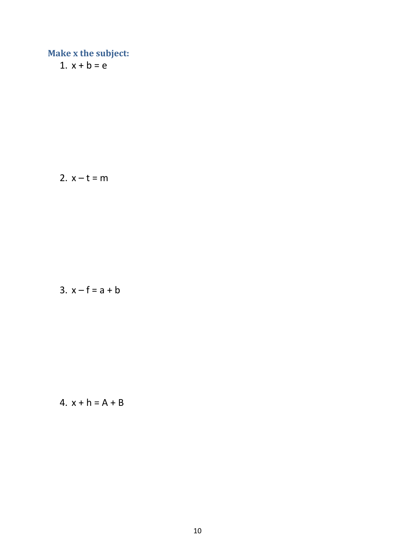1.  $x + b = e$ 

2.  $x - t = m$ 

$$
3. x - f = a + b
$$

$$
4. x + h = A + B
$$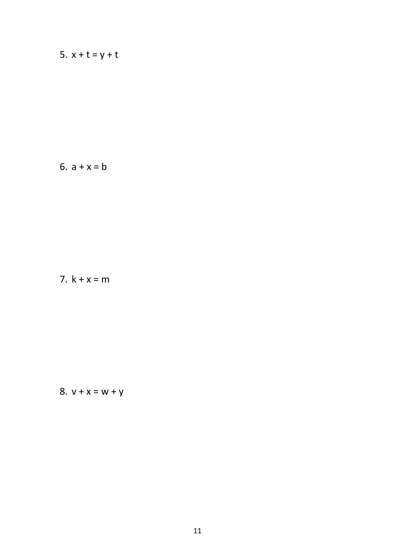# 5.  $x + t = y + t$

### 6.  $a + x = b$

### 7.  $k + x = m$

# 8.  $v + x = w + y$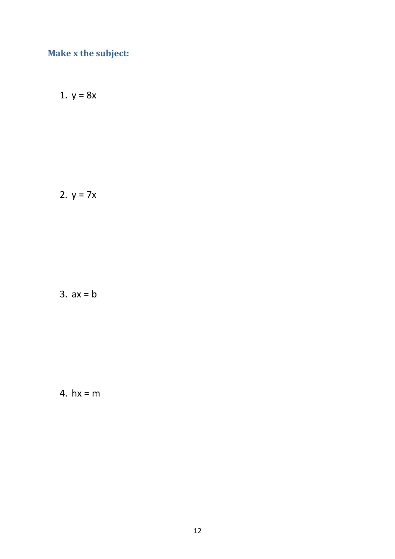1.  $y = 8x$ 

2. 
$$
y = 7x
$$

 $3. ax = b$ 

4. 
$$
hx = m
$$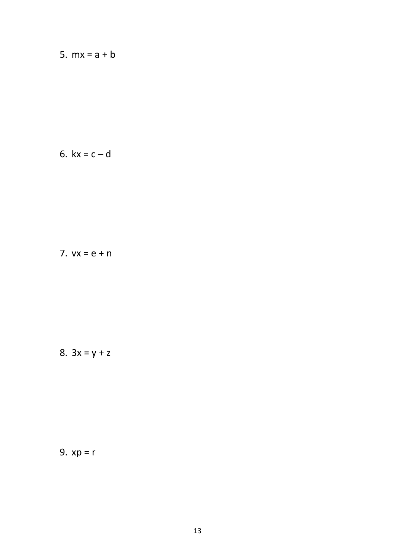5.  $mx = a + b$ 

$$
6. \; kx = c - d
$$

7. 
$$
vx = e + n
$$

8. 
$$
3x = y + z
$$

9. 
$$
xp = r
$$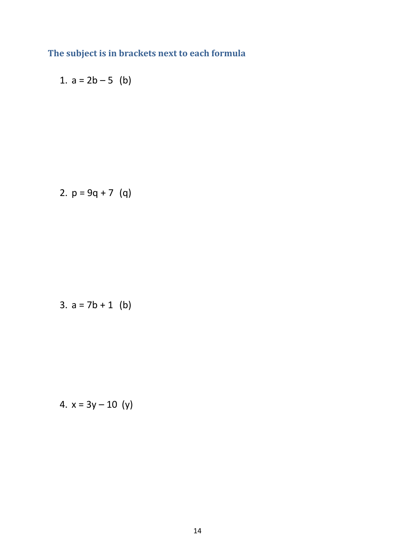# **The subject is in brackets next to each formula**

1. 
$$
a = 2b - 5
$$
 (b)

2. 
$$
p = 9q + 7
$$
 (q)

3. 
$$
a = 7b + 1
$$
 (b)

4. 
$$
x = 3y - 10
$$
 (y)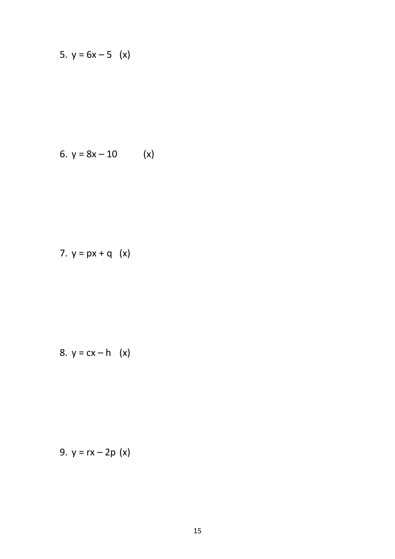5. 
$$
y = 6x - 5
$$
 (x)

6. 
$$
y = 8x - 10
$$
 (x)

7. 
$$
y = px + q (x)
$$

$$
8. \, y = cx - h \quad (x)
$$

9. 
$$
y = rx - 2p(x)
$$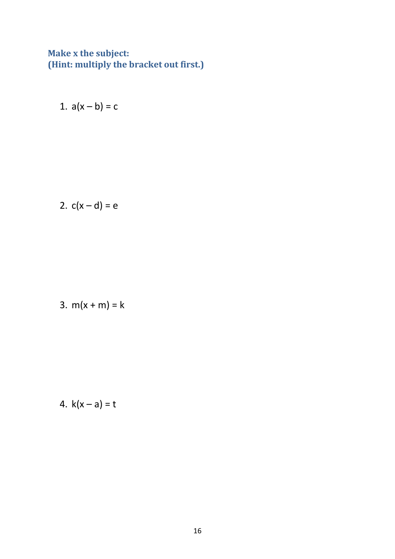### **Make x the subject: (Hint: multiply the bracket out first.)**

1.  $a(x - b) = c$ 

$$
2. c(x-d) = e
$$

3. 
$$
m(x + m) = k
$$

4. 
$$
k(x - a) = t
$$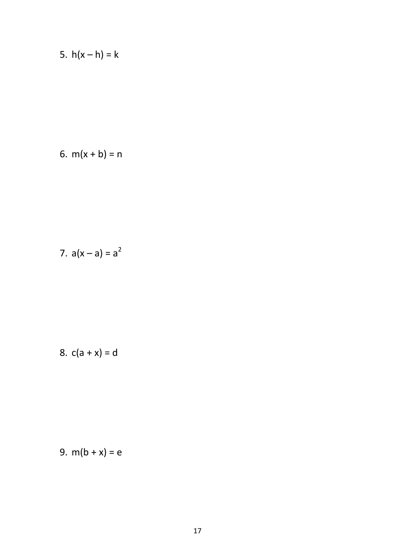5. 
$$
h(x - h) = k
$$

6. 
$$
m(x + b) = n
$$

7. 
$$
a(x - a) = a^2
$$

8. 
$$
c(a + x) = d
$$

$$
9. m(b+x) = e
$$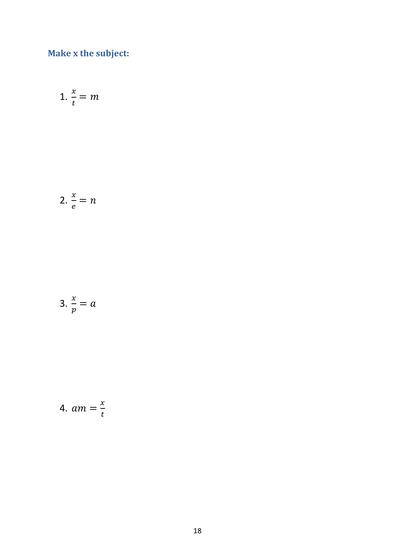$$
1. \frac{x}{t} = m
$$

$$
2. \frac{x}{e} = n
$$

$$
3. \frac{x}{p} = a
$$

$$
4. \ am = \frac{x}{t}
$$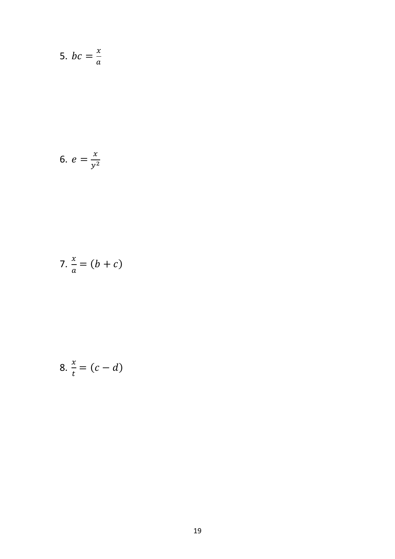$$
5. \, bc = \frac{x}{a}
$$

6. 
$$
e = \frac{x}{y^2}
$$

$$
7. \frac{x}{a} = (b + c)
$$

$$
8. \frac{x}{t} = (c - d)
$$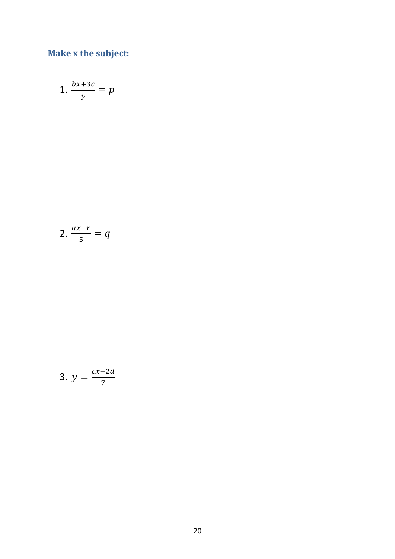$$
1. \ \frac{bx+3c}{y} = p
$$

$$
2. \ \frac{ax-r}{5} = q
$$

$$
3. \, y = \frac{cx - 2d}{7}
$$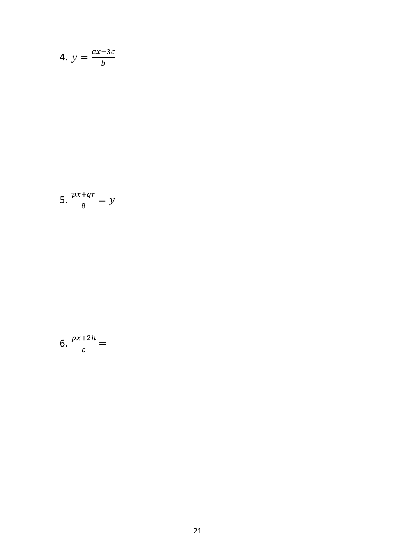$$
4. \, y = \frac{ax - 3c}{b}
$$

$$
5. \ \frac{px+qr}{8} = y
$$

$$
6. \frac{px+2h}{c} =
$$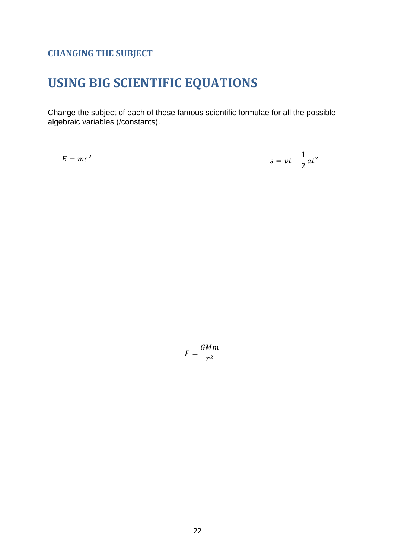### **CHANGING THE SUBJECT**

# **USING BIG SCIENTIFIC EQUATIONS**

Change the subject of each of these famous scientific formulae for all the possible algebraic variables (/constants).

 $E = mc^2$ 

$$
s = vt - \frac{1}{2}at^2
$$

$$
F = \frac{GMm}{r^2}
$$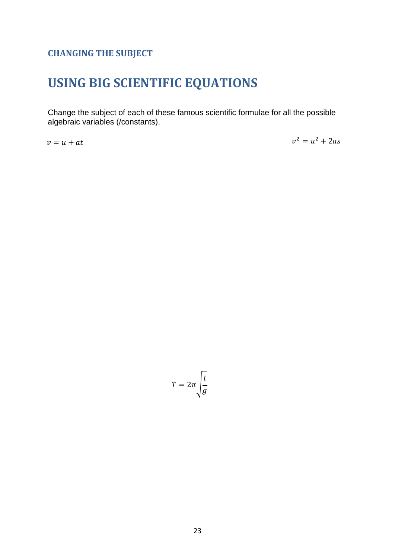### **CHANGING THE SUBJECT**

# **USING BIG SCIENTIFIC EQUATIONS**

Change the subject of each of these famous scientific formulae for all the possible algebraic variables (/constants).

 $v = u + at$ 

 $v^2$ 

$$
T=2\pi\sqrt{\frac{l}{g}}
$$